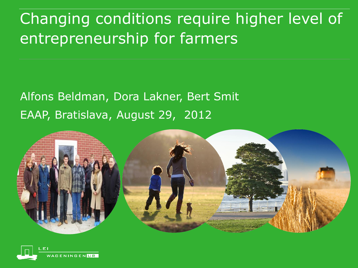# Changing conditions require higher level of entrepreneurship for farmers

#### Alfons Beldman, Dora Lakner, Bert Smit EAAP, Bratislava, August 29, 2012



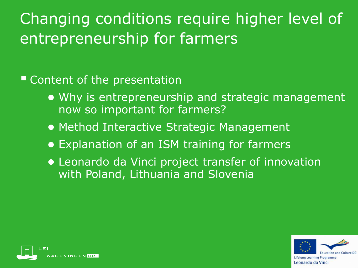# Changing conditions require higher level of entrepreneurship for farmers

■ Content of the presentation

- Why is entrepreneurship and strategic management now so important for farmers?
- Method Interactive Strategic Management
- Explanation of an ISM training for farmers
- Leonardo da Vinci project transfer of innovation with Poland, Lithuania and Slovenia



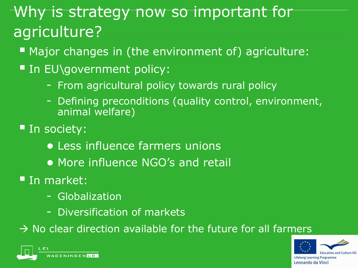# Why is strategy now so important for agriculture?

- **Major changes in (the environment of) agriculture:**
- In EU\government policy:
	- From agricultural policy towards rural policy
	- Defining preconditions (quality control, environment, animal welfare)
- **In society:** 
	- Less influence farmers unions
	- More influence NGO's and retail
- **In market:** 
	- Globalization
	- Diversification of markets

 $\rightarrow$  No clear direction available for the future for all farmers





Leonardo da Vinci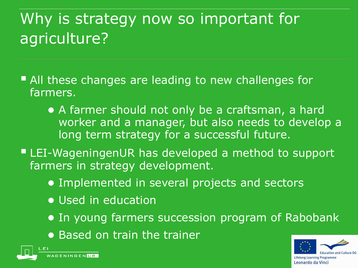# Why is strategy now so important for agriculture?

- All these changes are leading to new challenges for farmers.
	- A farmer should not only be a craftsman, a hard worker and a manager, but also needs to develop a long term strategy for a successful future.
- LEI-WageningenUR has developed a method to support farmers in strategy development.
	- Implemented in several projects and sectors
	- Used in education
	- In young farmers succession program of Rabobank
	- Based on train the trainer



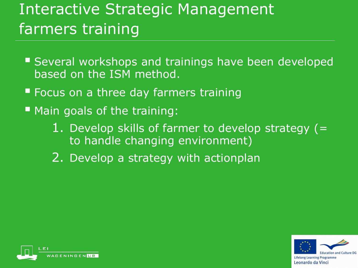# Interactive Strategic Management farmers training

- **Several workshops and trainings have been developed** based on the ISM method.
- **F** Focus on a three day farmers training
- **Main goals of the training:** 
	- 1. Develop skills of farmer to develop strategy  $(=$ to handle changing environment)
	- 2. Develop a strategy with actionplan



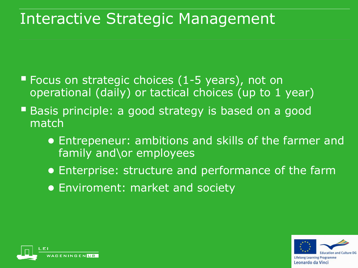#### Interactive Strategic Management

- Focus on strategic choices (1-5 years), not on operational (daily) or tactical choices (up to 1 year)
- **Basis principle: a good strategy is based on a good** match
	- Entrepeneur: ambitions and skills of the farmer and family and\or employees
	- Enterprise: structure and performance of the farm
	- Enviroment: market and society



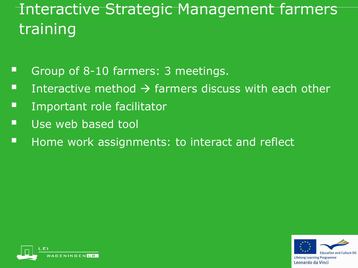# Interactive Strategic Management farmers training

- Group of 8-10 farmers: 3 meetings.
- Interactive method  $\rightarrow$  farmers discuss with each other
- **E** Important role facilitator
- Use web based tool
- **Home work assignments: to interact and reflect**



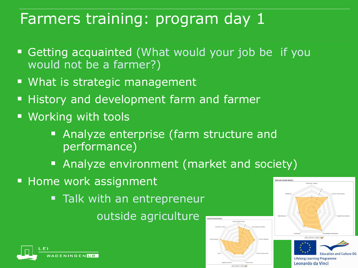- Getting acquainted (What would your job be if you would not be a farmer?)
- **What is strategic management**
- **History and development farm and farmer**
- **Working with tools** 
	- **Analyze enterprise (farm structure and** performance)
	- **Analyze environment (market and society)**
- **Home work assignment** 
	- **Talk with an entrepreneur** outside agriculture





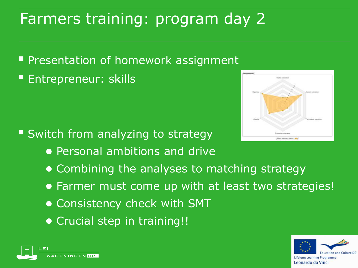**Presentation of homework assignment Entrepreneur: skills** 

- Switch from analyzing to strategy
	- Personal ambitions and drive
	- Combining the analyses to matching strategy
	- Farmer must come up with at least two strategies!
	- Consistency check with SMT
	- Crucial step in training!!





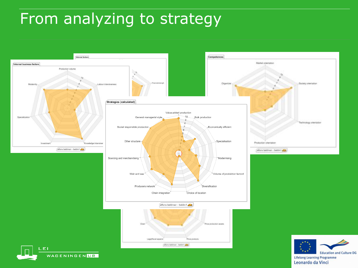## From analyzing to strategy

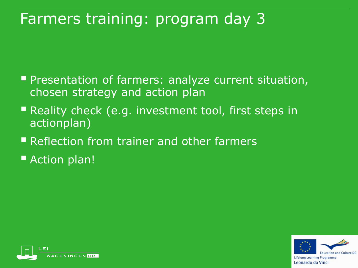- **Peantation of farmers: analyze current situation,** chosen strategy and action plan
- **Reality check (e.g. investment tool, first steps in** actionplan)
- Reflection from trainer and other farmers
- Action plan!



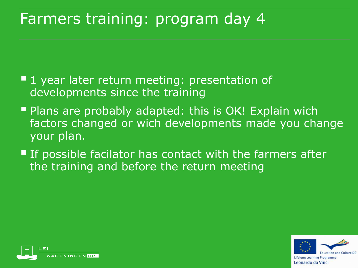- **1** year later return meeting: presentation of developments since the training
- **Plans are probably adapted: this is OK! Explain wich** factors changed or wich developments made you change your plan.
- **If possible facilator has contact with the farmers after** the training and before the return meeting



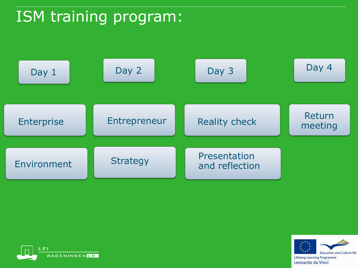## ISM training program:





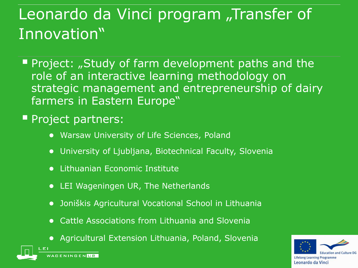# Leonardo da Vinci program "Transfer of Innovation"

Project: "Study of farm development paths and the role of an interactive learning methodology on strategic management and entrepreneurship of dairy farmers in Eastern Europe"

#### **Project partners:**

- Warsaw University of Life Sciences, Poland
- University of Ljubljana, Biotechnical Faculty, Slovenia
- Lithuanian Economic Institute
- LEI Wageningen UR, The Netherlands
- Joniškis Agricultural Vocational School in Lithuania
- Cattle Associations from Lithuania and Slovenia
- Agricultural Extension Lithuania, Poland, SloveniaAGENINGEN**ITR**

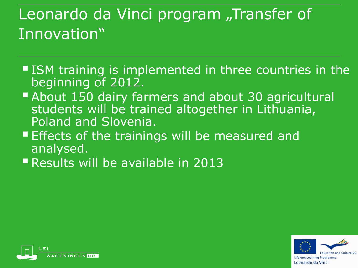# Leonardo da Vinci program "Transfer of Innovation"

- ISM training is implemented in three countries in the beginning of 2012.
- **About 150 dairy farmers and about 30 agricultural** students will be trained altogether in Lithuania, Poland and Slovenia.
- **Effects of the trainings will be measured and** analysed.
- Results will be available in 2013



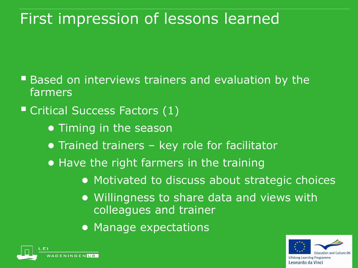#### First impression of lessons learned

- **Based on interviews trainers and evaluation by the** farmers
- Critical Success Factors (1)
	- Timing in the season
	- Trained trainers key role for facilitator
	- Have the right farmers in the training
		- Motivated to discuss about strategic choices
		- Willingness to share data and views with colleagues and trainer
		- Manage expectations



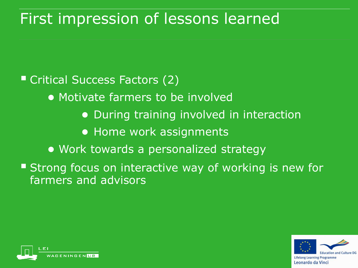#### First impression of lessons learned

■ Critical Success Factors (2)

- Motivate farmers to be involved
	- During training involved in interaction
	- Home work assignments
- Work towards a personalized strategy

**Strong focus on interactive way of working is new for** farmers and advisors